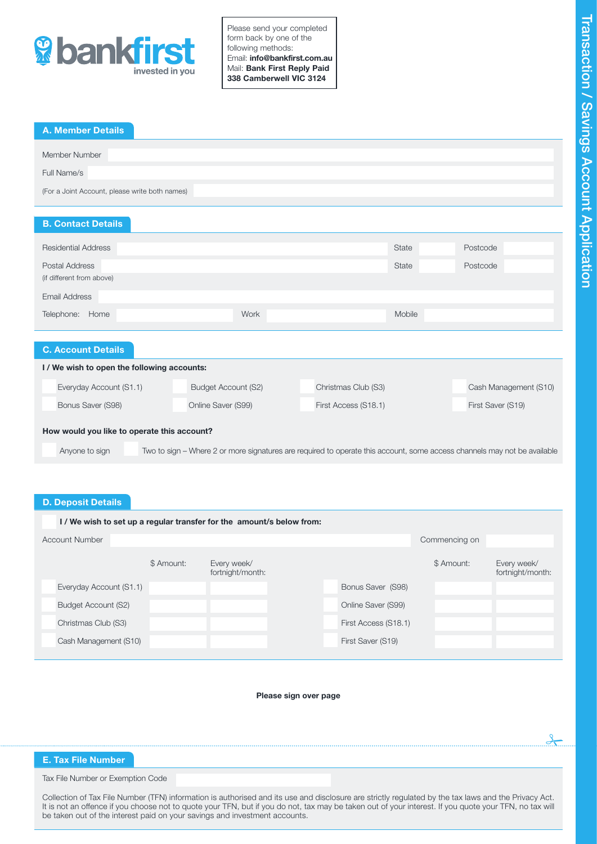

Please send your completed form back by one of the following methods: Email: info@bankfirst.com.au Mail: Bank First Reply Paid 338 Camberwell VIC 3124

| <b>A. Member Details</b>                       |  |  |  |
|------------------------------------------------|--|--|--|
|                                                |  |  |  |
| Member Number                                  |  |  |  |
|                                                |  |  |  |
| Full Name/s                                    |  |  |  |
|                                                |  |  |  |
| (For a Joint Account, please write both names) |  |  |  |
|                                                |  |  |  |
|                                                |  |  |  |
| <b>B. Contact Details</b>                      |  |  |  |
|                                                |  |  |  |
|                                                |  |  |  |
|                                                |  |  |  |

| <b>Residential Address</b>                |                     | <b>State</b>        | Postcode              |  |  |  |  |
|-------------------------------------------|---------------------|---------------------|-----------------------|--|--|--|--|
| Postal Address                            |                     | State               | Postcode              |  |  |  |  |
| (if different from above)                 |                     |                     |                       |  |  |  |  |
| Email Address                             |                     |                     |                       |  |  |  |  |
| Telephone:<br>Home                        | <b>Work</b>         | Mobile              |                       |  |  |  |  |
|                                           |                     |                     |                       |  |  |  |  |
| <b>C. Account Details</b>                 |                     |                     |                       |  |  |  |  |
| I/We wish to open the following accounts: |                     |                     |                       |  |  |  |  |
| Everyday Account (S1.1)                   | Budget Account (S2) | Christmas Club (S3) | Cash Management (S10) |  |  |  |  |

Bonus Saver (S98) **Online Saver (S99)** First Access (S18.1) First Access (S18.1) First Saver (S19)

How would you like to operate this account?

Anyone to sign Two to sign – Where 2 or more signatures are required to operate this account, some access channels may not be available

# D. Deposit Details

| I/We wish to set up a regular transfer for the amount/s below from: |                         |            |                                 |  |                      |               |                                 |  |
|---------------------------------------------------------------------|-------------------------|------------|---------------------------------|--|----------------------|---------------|---------------------------------|--|
|                                                                     | <b>Account Number</b>   |            |                                 |  |                      | Commencing on |                                 |  |
|                                                                     |                         | \$ Amount: | Every week/<br>fortnight/month: |  |                      | \$ Amount:    | Every week/<br>fortnight/month: |  |
|                                                                     | Everyday Account (S1.1) |            |                                 |  | Bonus Saver (S98)    |               |                                 |  |
|                                                                     | Budget Account (S2)     |            |                                 |  | Online Saver (S99)   |               |                                 |  |
|                                                                     | Christmas Club (S3)     |            |                                 |  | First Access (S18.1) |               |                                 |  |
|                                                                     | Cash Management (S10)   |            |                                 |  | First Saver (S19)    |               |                                 |  |
|                                                                     |                         |            |                                 |  |                      |               |                                 |  |

#### Please sign over page

# E. Tax File Number  $\frac{1}{2}$

Tax File Number or Exemption Code

Collection of Tax File Number (TFN) information is authorised and its use and disclosure are strictly regulated by the tax laws and the Privacy Act. It is not an offence if you choose not to quote your TFN, but if you do not, tax may be taken out of your interest. If you quote your TFN, no tax will be taken out of the interest paid on your savings and investment accounts.